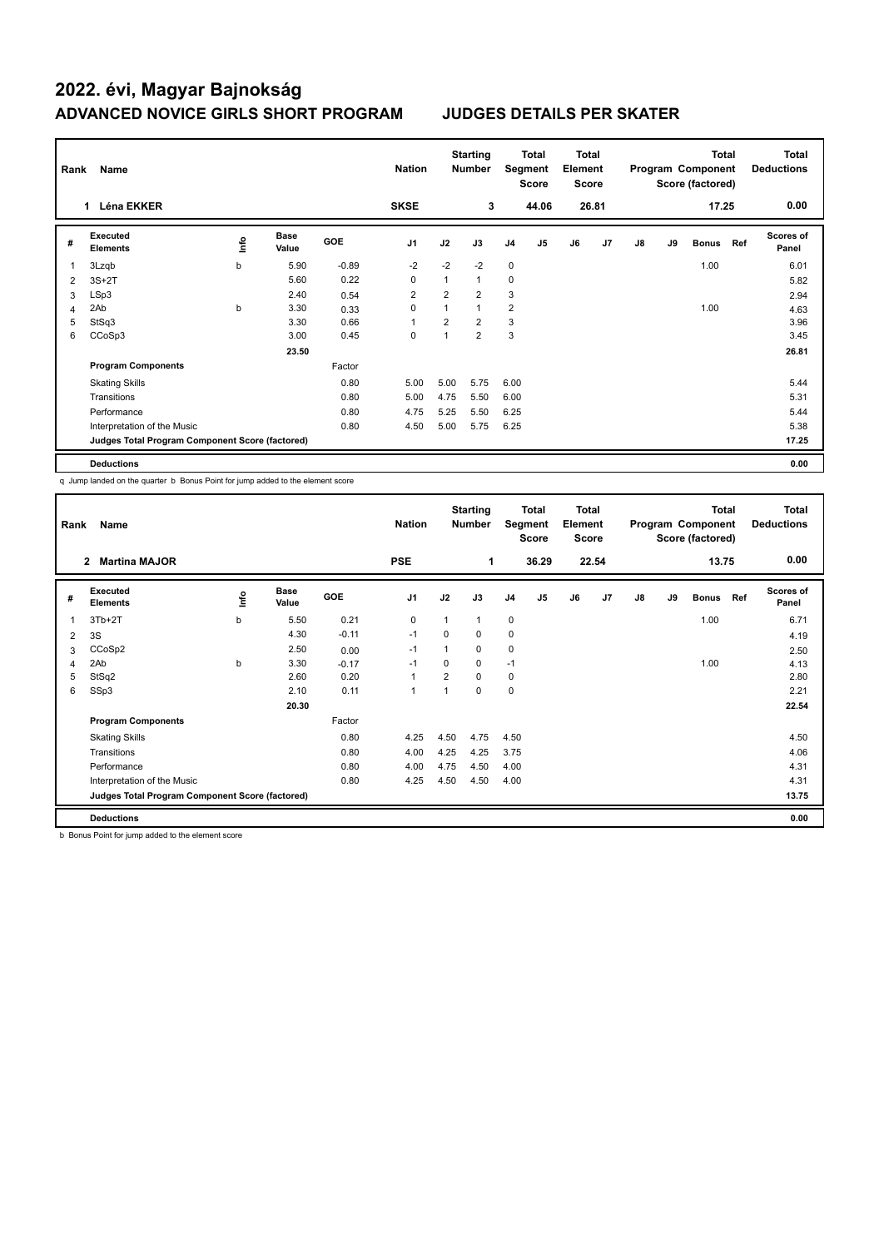## **2022. évi, Magyar Bajnokság ADVANCED NOVICE GIRLS SHORT PROGRAM JUDGES DETAILS PER SKATER**

| Rank<br>Name      |                                                 |      |                      |            |                | <b>Starting</b><br><b>Nation</b><br><b>Number</b> |                | <b>Total</b><br>Segment<br><b>Score</b> |                | <b>Total</b><br>Element<br><b>Score</b> |       | <b>Total</b><br>Program Component<br>Score (factored) |    |              |     | <b>Total</b><br><b>Deductions</b> |
|-------------------|-------------------------------------------------|------|----------------------|------------|----------------|---------------------------------------------------|----------------|-----------------------------------------|----------------|-----------------------------------------|-------|-------------------------------------------------------|----|--------------|-----|-----------------------------------|
| <b>Léna EKKER</b> |                                                 |      |                      |            |                |                                                   | 3              |                                         | 44.06          |                                         | 26.81 |                                                       |    | 17.25        |     | 0.00                              |
| #                 | Executed<br><b>Elements</b>                     | ١nfo | <b>Base</b><br>Value | <b>GOE</b> | J <sub>1</sub> | J2                                                | J3             | J <sub>4</sub>                          | J <sub>5</sub> | J6                                      | J7    | J8                                                    | J9 | <b>Bonus</b> | Ref | Scores of<br>Panel                |
| 1                 | 3Lzqb                                           | b    | 5.90                 | $-0.89$    | $-2$           | $-2$                                              | $-2$           | $\mathbf 0$                             |                |                                         |       |                                                       |    | 1.00         |     | 6.01                              |
| 2                 | $3S+2T$                                         |      | 5.60                 | 0.22       | 0              | $\mathbf{1}$                                      | $\mathbf{1}$   | 0                                       |                |                                         |       |                                                       |    |              |     | 5.82                              |
| 3                 | LSp3                                            |      | 2.40                 | 0.54       | $\overline{2}$ | $\overline{2}$                                    | $\overline{2}$ | 3                                       |                |                                         |       |                                                       |    |              |     | 2.94                              |
| 4                 | 2Ab                                             | b    | 3.30                 | 0.33       | 0              | $\mathbf{1}$                                      | $\mathbf{1}$   | $\overline{2}$                          |                |                                         |       |                                                       |    | 1.00         |     | 4.63                              |
| 5                 | StSq3                                           |      | 3.30                 | 0.66       | $\overline{1}$ | $\overline{2}$                                    | $\overline{2}$ | 3                                       |                |                                         |       |                                                       |    |              |     | 3.96                              |
| 6                 | CCoSp3                                          |      | 3.00                 | 0.45       | 0              | 1                                                 | $\overline{2}$ | 3                                       |                |                                         |       |                                                       |    |              |     | 3.45                              |
|                   |                                                 |      | 23.50                |            |                |                                                   |                |                                         |                |                                         |       |                                                       |    |              |     | 26.81                             |
|                   | <b>Program Components</b>                       |      |                      | Factor     |                |                                                   |                |                                         |                |                                         |       |                                                       |    |              |     |                                   |
|                   | <b>Skating Skills</b>                           |      |                      | 0.80       | 5.00           | 5.00                                              | 5.75           | 6.00                                    |                |                                         |       |                                                       |    |              |     | 5.44                              |
|                   | Transitions                                     |      |                      | 0.80       | 5.00           | 4.75                                              | 5.50           | 6.00                                    |                |                                         |       |                                                       |    |              |     | 5.31                              |
|                   | Performance                                     |      |                      | 0.80       | 4.75           | 5.25                                              | 5.50           | 6.25                                    |                |                                         |       |                                                       |    |              |     | 5.44                              |
|                   | Interpretation of the Music                     |      |                      | 0.80       | 4.50           | 5.00                                              | 5.75           | 6.25                                    |                |                                         |       |                                                       |    |              |     | 5.38                              |
|                   | Judges Total Program Component Score (factored) |      |                      |            |                |                                                   |                |                                         |                |                                         |       |                                                       |    |              |     | 17.25                             |
|                   | <b>Deductions</b>                               |      |                      |            |                |                                                   |                |                                         |                |                                         |       |                                                       |    |              |     | 0.00                              |

q Jump landed on the quarter b Bonus Point for jump added to the element score

| Name<br>Rank |                                                 |      |                      |            |                | <b>Starting</b><br><b>Nation</b><br><b>Number</b> |              | Total<br>Segment<br><b>Score</b> |                | <b>Total</b><br>Element<br><b>Score</b> |                | <b>Total</b><br>Program Component<br>Score (factored) |    |              |     | <b>Total</b><br><b>Deductions</b> |
|--------------|-------------------------------------------------|------|----------------------|------------|----------------|---------------------------------------------------|--------------|----------------------------------|----------------|-----------------------------------------|----------------|-------------------------------------------------------|----|--------------|-----|-----------------------------------|
|              | <b>Martina MAJOR</b><br>$\mathbf{2}$            |      |                      |            | <b>PSE</b>     |                                                   | 1            |                                  | 36.29          |                                         | 22.54          |                                                       |    | 13.75        |     | 0.00                              |
| #            | Executed<br><b>Elements</b>                     | ١nf٥ | <b>Base</b><br>Value | <b>GOE</b> | J <sub>1</sub> | J2                                                | J3           | J <sub>4</sub>                   | J <sub>5</sub> | J6                                      | J <sub>7</sub> | $\mathsf{J}8$                                         | J9 | <b>Bonus</b> | Ref | <b>Scores of</b><br>Panel         |
| 1            | $3Tb+2T$                                        | b    | 5.50                 | 0.21       | 0              | 1                                                 | $\mathbf{1}$ | 0                                |                |                                         |                |                                                       |    | 1.00         |     | 6.71                              |
| 2            | 3S                                              |      | 4.30                 | $-0.11$    | $-1$           | 0                                                 | $\mathbf 0$  | $\mathbf 0$                      |                |                                         |                |                                                       |    |              |     | 4.19                              |
| 3            | CCoSp2                                          |      | 2.50                 | 0.00       | $-1$           | 1                                                 | $\mathbf 0$  | 0                                |                |                                         |                |                                                       |    |              |     | 2.50                              |
| 4            | 2Ab                                             | b    | 3.30                 | $-0.17$    | $-1$           | 0                                                 | $\mathbf 0$  | $-1$                             |                |                                         |                |                                                       |    | 1.00         |     | 4.13                              |
| 5            | StSq2                                           |      | 2.60                 | 0.20       | 1              | $\overline{2}$                                    | $\mathbf 0$  | $\mathbf 0$                      |                |                                         |                |                                                       |    |              |     | 2.80                              |
| 6            | SSp3                                            |      | 2.10                 | 0.11       | 1              | 1                                                 | $\mathbf 0$  | $\mathbf 0$                      |                |                                         |                |                                                       |    |              |     | 2.21                              |
|              |                                                 |      | 20.30                |            |                |                                                   |              |                                  |                |                                         |                |                                                       |    |              |     | 22.54                             |
|              | <b>Program Components</b>                       |      |                      | Factor     |                |                                                   |              |                                  |                |                                         |                |                                                       |    |              |     |                                   |
|              | <b>Skating Skills</b>                           |      |                      | 0.80       | 4.25           | 4.50                                              | 4.75         | 4.50                             |                |                                         |                |                                                       |    |              |     | 4.50                              |
|              | Transitions                                     |      |                      | 0.80       | 4.00           | 4.25                                              | 4.25         | 3.75                             |                |                                         |                |                                                       |    |              |     | 4.06                              |
|              | Performance                                     |      |                      | 0.80       | 4.00           | 4.75                                              | 4.50         | 4.00                             |                |                                         |                |                                                       |    |              |     | 4.31                              |
|              | Interpretation of the Music                     |      |                      | 0.80       | 4.25           | 4.50                                              | 4.50         | 4.00                             |                |                                         |                |                                                       |    |              |     | 4.31                              |
|              | Judges Total Program Component Score (factored) |      |                      |            |                |                                                   |              |                                  |                |                                         |                |                                                       |    |              |     | 13.75                             |
|              | <b>Deductions</b>                               |      |                      |            |                |                                                   |              |                                  |                |                                         |                |                                                       |    |              |     | 0.00                              |

b Bonus Point for jump added to the element score